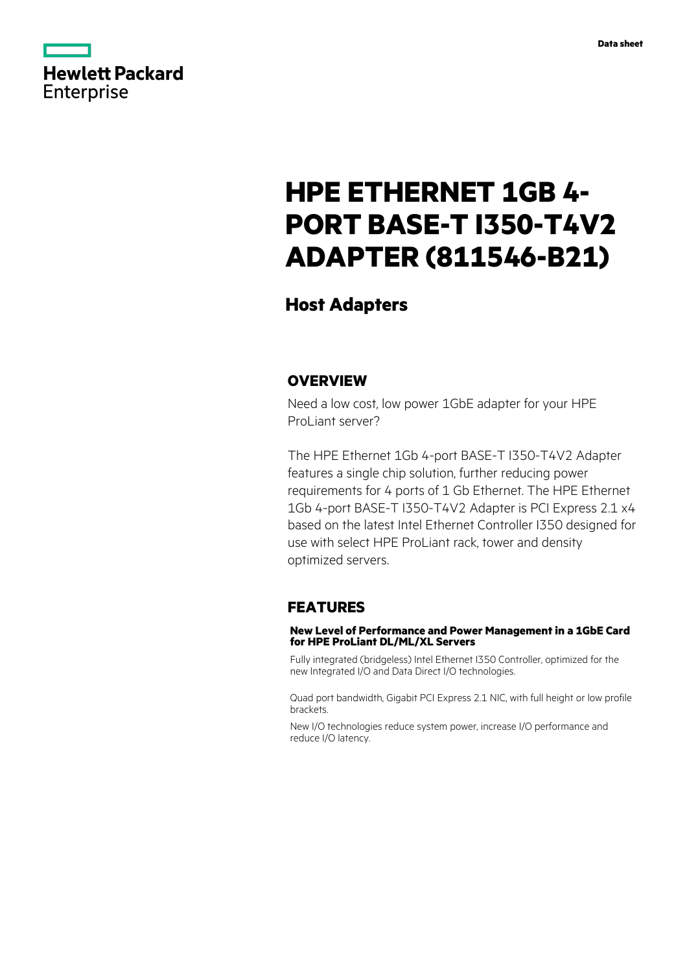

# **HPE ETHERNET 1GB 4- PORT BASE-T I350-T4V2 ADAPTER (811546-B21)**

## **Host Adapters**

### **OVERVIEW**

Need a low cost, low power 1GbE adapter for your HPE ProLiant server?

The HPE Ethernet 1Gb 4-port BASE-T I350-T4V2 Adapter features a single chip solution, further reducing power requirements for 4 ports of 1 Gb Ethernet. The HPE Ethernet 1Gb 4-port BASE-T I350-T4V2 Adapter is PCI Express 2.1 x4 based on the latest Intel Ethernet Controller I350 designed for use with select HPE ProLiant rack, tower and density optimized servers.

#### **FEATURES**

#### **New Level of Performance and Power Management in a 1GbE Card for HPE ProLiant DL/ML/XL Servers**

Fully integrated (bridgeless) Intel Ethernet I350 Controller, optimized for the new Integrated I/O and Data Direct I/O technologies.

Quad port bandwidth, Gigabit PCI Express 2.1 NIC, with full height or low profile brackets.

New I/O technologies reduce system power, increase I/O performance and reduce I/O latency.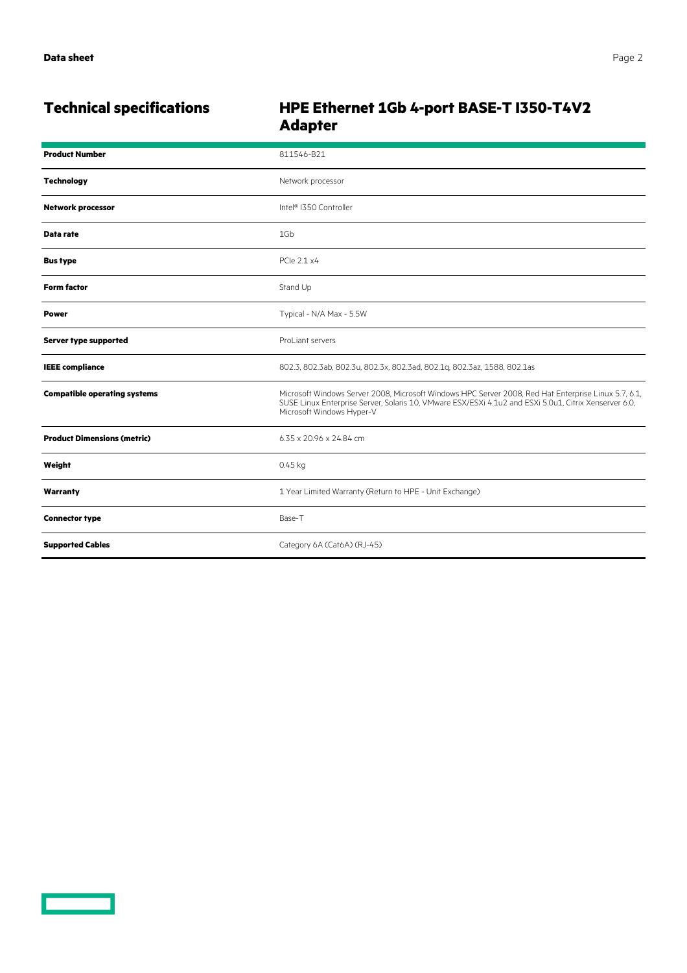## **Technical specifications HPE Ethernet 1Gb 4-port BASE-T I350-T4V2 Adapter**

| <b>Product Number</b>               | 811546-B21                                                                                                                                                                                                                                 |
|-------------------------------------|--------------------------------------------------------------------------------------------------------------------------------------------------------------------------------------------------------------------------------------------|
| <b>Technology</b>                   | Network processor                                                                                                                                                                                                                          |
| <b>Network processor</b>            | Intel® I350 Controller                                                                                                                                                                                                                     |
| Data rate                           | 1Gb                                                                                                                                                                                                                                        |
| <b>Bus type</b>                     | PCle 2.1 x4                                                                                                                                                                                                                                |
| <b>Form factor</b>                  | Stand Up                                                                                                                                                                                                                                   |
| <b>Power</b>                        | Typical - N/A Max - 5.5W                                                                                                                                                                                                                   |
| Server type supported               | ProLiant servers                                                                                                                                                                                                                           |
| <b>IEEE</b> compliance              | 802.3, 802.3ab, 802.3u, 802.3x, 802.3ad, 802.1g, 802.3az, 1588, 802.1as                                                                                                                                                                    |
| <b>Compatible operating systems</b> | Microsoft Windows Server 2008, Microsoft Windows HPC Server 2008, Red Hat Enterprise Linux 5.7, 6.1,<br>SUSE Linux Enterprise Server, Solaris 10, VMware ESX/ESXi 4.1u2 and ESXi 5.0u1, Citrix Xenserver 6.0,<br>Microsoft Windows Hyper-V |
| <b>Product Dimensions (metric)</b>  | 6.35 x 20.96 x 24.84 cm                                                                                                                                                                                                                    |
| Weight                              | $0.45$ kg                                                                                                                                                                                                                                  |
| Warranty                            | 1 Year Limited Warranty (Return to HPE - Unit Exchange)                                                                                                                                                                                    |
| <b>Connector type</b>               | Base-T                                                                                                                                                                                                                                     |
| <b>Supported Cables</b>             | Category 6A (Cat6A) (RJ-45)                                                                                                                                                                                                                |